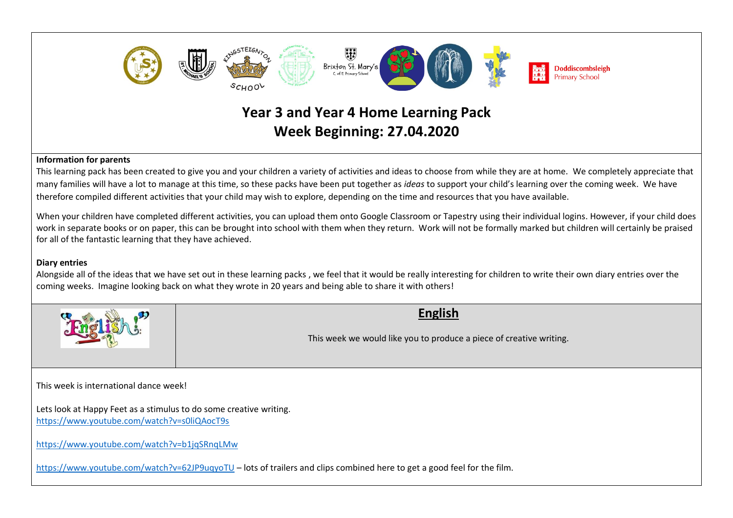

**Week Beginning: 27.04.2020**

## **Information for parents**

This learning pack has been created to give you and your children a variety of activities and ideas to choose from while they are at home. We completely appreciate that many families will have a lot to manage at this time, so these packs have been put together as *ideas* to support your child's learning over the coming week. We have therefore compiled different activities that your child may wish to explore, depending on the time and resources that you have available.

When your children have completed different activities, you can upload them onto Google Classroom or Tapestry using their individual logins. However, if your child does work in separate books or on paper, this can be brought into school with them when they return. Work will not be formally marked but children will certainly be praised for all of the fantastic learning that they have achieved.

## **Diary entries**

Alongside all of the ideas that we have set out in these learning packs , we feel that it would be really interesting for children to write their own diary entries over the coming weeks. Imagine looking back on what they wrote in 20 years and being able to share it with others!



**English**

This week we would like you to produce a piece of creative writing.

This week is international dance week!

Lets look at Happy Feet as a stimulus to do some creative writing. <https://www.youtube.com/watch?v=s0liQAocT9s>

<https://www.youtube.com/watch?v=b1jqSRnqLMw>

<https://www.youtube.com/watch?v=62JP9uqyoTU> – lots of trailers and clips combined here to get a good feel for the film.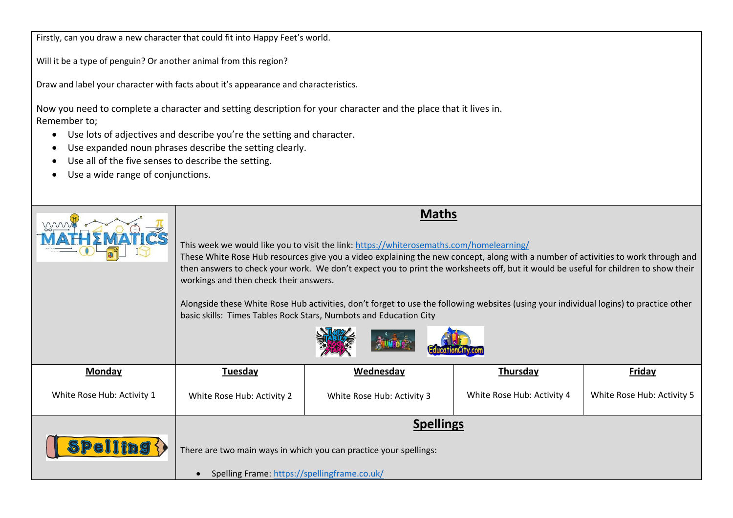Firstly, can you draw a new character that could fit into Happy Feet's world.

Will it be a type of penguin? Or another animal from this region?

Draw and label your character with facts about it's appearance and characteristics.

Now you need to complete a character and setting description for your character and the place that it lives in. Remember to;

- Use lots of adjectives and describe you're the setting and character.
- Use expanded noun phrases describe the setting clearly.
- Use all of the five senses to describe the setting.
- Use a wide range of conjunctions.

|                            | <b>Maths</b><br>This week we would like you to visit the link: https://whiterosemaths.com/homelearning/<br>These White Rose Hub resources give you a video explaining the new concept, along with a number of activities to work through and<br>then answers to check your work. We don't expect you to print the worksheets off, but it would be useful for children to show their<br>workings and then check their answers.<br>Alongside these White Rose Hub activities, don't forget to use the following websites (using your individual logins) to practice other<br>basic skills: Times Tables Rock Stars, Numbots and Education City |                            |                            |                            |  |
|----------------------------|----------------------------------------------------------------------------------------------------------------------------------------------------------------------------------------------------------------------------------------------------------------------------------------------------------------------------------------------------------------------------------------------------------------------------------------------------------------------------------------------------------------------------------------------------------------------------------------------------------------------------------------------|----------------------------|----------------------------|----------------------------|--|
| Monday                     | <b>Friday</b><br>Wednesday<br><b>Thursday</b><br><b>Tuesday</b>                                                                                                                                                                                                                                                                                                                                                                                                                                                                                                                                                                              |                            |                            |                            |  |
|                            |                                                                                                                                                                                                                                                                                                                                                                                                                                                                                                                                                                                                                                              |                            |                            |                            |  |
| White Rose Hub: Activity 1 | White Rose Hub: Activity 2                                                                                                                                                                                                                                                                                                                                                                                                                                                                                                                                                                                                                   | White Rose Hub: Activity 3 | White Rose Hub: Activity 4 | White Rose Hub: Activity 5 |  |
|                            | <b>Spellings</b>                                                                                                                                                                                                                                                                                                                                                                                                                                                                                                                                                                                                                             |                            |                            |                            |  |
|                            | There are two main ways in which you can practice your spellings:                                                                                                                                                                                                                                                                                                                                                                                                                                                                                                                                                                            |                            |                            |                            |  |
|                            | Spelling Frame: https://spellingframe.co.uk/                                                                                                                                                                                                                                                                                                                                                                                                                                                                                                                                                                                                 |                            |                            |                            |  |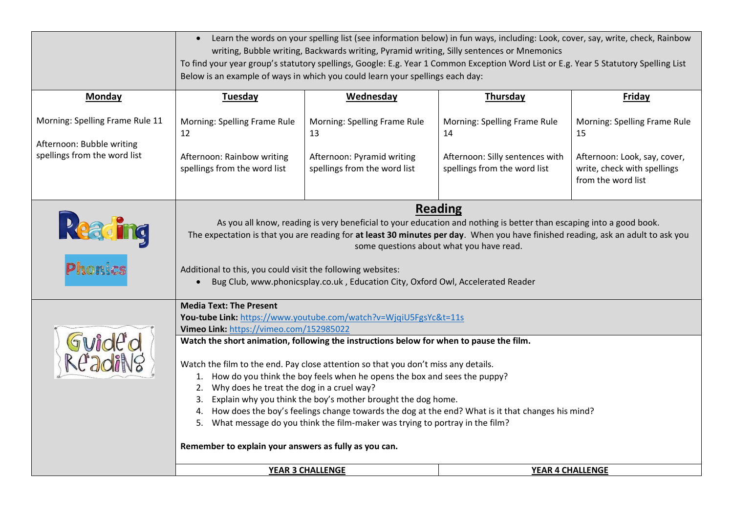|                                                              | Learn the words on your spelling list (see information below) in fun ways, including: Look, cover, say, write, check, Rainbow<br>$\bullet$<br>writing, Bubble writing, Backwards writing, Pyramid writing, Silly sentences or Mnemonics<br>To find your year group's statutory spellings, Google: E.g. Year 1 Common Exception Word List or E.g. Year 5 Statutory Spelling List<br>Below is an example of ways in which you could learn your spellings each day:                                                                                                                                                                                                                                                                                                                                               |                                                            |                                                                 |                                                                                   |
|--------------------------------------------------------------|----------------------------------------------------------------------------------------------------------------------------------------------------------------------------------------------------------------------------------------------------------------------------------------------------------------------------------------------------------------------------------------------------------------------------------------------------------------------------------------------------------------------------------------------------------------------------------------------------------------------------------------------------------------------------------------------------------------------------------------------------------------------------------------------------------------|------------------------------------------------------------|-----------------------------------------------------------------|-----------------------------------------------------------------------------------|
| <b>Monday</b>                                                | <b>Tuesday</b>                                                                                                                                                                                                                                                                                                                                                                                                                                                                                                                                                                                                                                                                                                                                                                                                 | <b>Wednesday</b>                                           | <b>Thursday</b>                                                 | <b>Friday</b>                                                                     |
| Morning: Spelling Frame Rule 11<br>Afternoon: Bubble writing | Morning: Spelling Frame Rule<br>12                                                                                                                                                                                                                                                                                                                                                                                                                                                                                                                                                                                                                                                                                                                                                                             | Morning: Spelling Frame Rule<br>13                         | Morning: Spelling Frame Rule<br>14                              | Morning: Spelling Frame Rule<br>15                                                |
| spellings from the word list                                 | Afternoon: Rainbow writing<br>spellings from the word list                                                                                                                                                                                                                                                                                                                                                                                                                                                                                                                                                                                                                                                                                                                                                     | Afternoon: Pyramid writing<br>spellings from the word list | Afternoon: Silly sentences with<br>spellings from the word list | Afternoon: Look, say, cover,<br>write, check with spellings<br>from the word list |
| Reading<br><b>Phonics</b>                                    | <b>Reading</b><br>As you all know, reading is very beneficial to your education and nothing is better than escaping into a good book.<br>The expectation is that you are reading for at least 30 minutes per day. When you have finished reading, ask an adult to ask you<br>some questions about what you have read.<br>Additional to this, you could visit the following websites:<br>Bug Club, www.phonicsplay.co.uk, Education City, Oxford Owl, Accelerated Reader                                                                                                                                                                                                                                                                                                                                        |                                                            |                                                                 |                                                                                   |
|                                                              | <b>Media Text: The Present</b><br>You-tube Link: https://www.youtube.com/watch?v=WjqiU5FgsYc&t=11s<br>Vimeo Link: https://vimeo.com/152985022<br>Guide'd<br>ReadiNg<br>Watch the short animation, following the instructions below for when to pause the film.<br>Watch the film to the end. Pay close attention so that you don't miss any details.<br>1. How do you think the boy feels when he opens the box and sees the puppy?<br>Why does he treat the dog in a cruel way?<br>2.<br>Explain why you think the boy's mother brought the dog home.<br>3.<br>4. How does the boy's feelings change towards the dog at the end? What is it that changes his mind?<br>5. What message do you think the film-maker was trying to portray in the film?<br>Remember to explain your answers as fully as you can. |                                                            |                                                                 |                                                                                   |
|                                                              |                                                                                                                                                                                                                                                                                                                                                                                                                                                                                                                                                                                                                                                                                                                                                                                                                |                                                            |                                                                 |                                                                                   |
| YEAR 3 CHALLENGE<br>YEAR 4 CHALLENGE                         |                                                                                                                                                                                                                                                                                                                                                                                                                                                                                                                                                                                                                                                                                                                                                                                                                |                                                            |                                                                 |                                                                                   |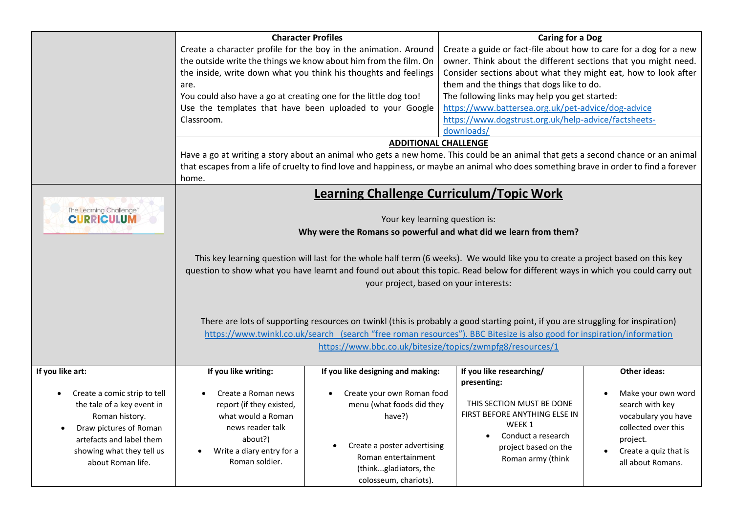|                                                                                                                                                                                     | are.<br>You could also have a go at creating one for the little dog too!<br>Classroom.                                                                                                                                                                                                                                                                                                                                                                                                                                                                                                                                                                                                                                                                                                            | <b>Character Profiles</b><br>Create a character profile for the boy in the animation. Around<br>the outside write the things we know about him from the film. On<br>the inside, write down what you think his thoughts and feelings<br>Use the templates that have been uploaded to your Google | <b>Caring for a Dog</b><br>Create a guide or fact-file about how to care for a dog for a new<br>owner. Think about the different sections that you might need.<br>Consider sections about what they might eat, how to look after<br>them and the things that dogs like to do.<br>The following links may help you get started:<br>https://www.battersea.org.uk/pet-advice/dog-advice<br>https://www.dogstrust.org.uk/help-advice/factsheets-<br>downloads/ |                                                                                                                                                 |
|-------------------------------------------------------------------------------------------------------------------------------------------------------------------------------------|---------------------------------------------------------------------------------------------------------------------------------------------------------------------------------------------------------------------------------------------------------------------------------------------------------------------------------------------------------------------------------------------------------------------------------------------------------------------------------------------------------------------------------------------------------------------------------------------------------------------------------------------------------------------------------------------------------------------------------------------------------------------------------------------------|-------------------------------------------------------------------------------------------------------------------------------------------------------------------------------------------------------------------------------------------------------------------------------------------------|------------------------------------------------------------------------------------------------------------------------------------------------------------------------------------------------------------------------------------------------------------------------------------------------------------------------------------------------------------------------------------------------------------------------------------------------------------|-------------------------------------------------------------------------------------------------------------------------------------------------|
|                                                                                                                                                                                     | <b>ADDITIONAL CHALLENGE</b><br>Have a go at writing a story about an animal who gets a new home. This could be an animal that gets a second chance or an animal<br>that escapes from a life of cruelty to find love and happiness, or maybe an animal who does something brave in order to find a forever<br>home.                                                                                                                                                                                                                                                                                                                                                                                                                                                                                |                                                                                                                                                                                                                                                                                                 |                                                                                                                                                                                                                                                                                                                                                                                                                                                            |                                                                                                                                                 |
| The Learning Challenge"<br><b>CURRICULUM</b>                                                                                                                                        | <b>Learning Challenge Curriculum/Topic Work</b><br>Your key learning question is:<br>Why were the Romans so powerful and what did we learn from them?<br>This key learning question will last for the whole half term (6 weeks). We would like you to create a project based on this key<br>question to show what you have learnt and found out about this topic. Read below for different ways in which you could carry out<br>your project, based on your interests:<br>There are lots of supporting resources on twinkl (this is probably a good starting point, if you are struggling for inspiration)<br>https://www.twinkl.co.uk/search (search "free roman resources"). BBC Bitesize is also good for inspiration/information<br>https://www.bbc.co.uk/bitesize/topics/zwmpfg8/resources/1 |                                                                                                                                                                                                                                                                                                 |                                                                                                                                                                                                                                                                                                                                                                                                                                                            |                                                                                                                                                 |
| If you like art:<br>Create a comic strip to tell<br>the tale of a key event in<br>Roman history.<br>Draw pictures of Roman<br>artefacts and label them<br>showing what they tell us | If you like writing:<br>Create a Roman news<br>report (if they existed,<br>what would a Roman<br>news reader talk<br>about?)<br>Write a diary entry for a<br>Roman soldier.                                                                                                                                                                                                                                                                                                                                                                                                                                                                                                                                                                                                                       | If you like designing and making:<br>Create your own Roman food<br>menu (what foods did they<br>have?)<br>Create a poster advertising<br>Roman entertainment                                                                                                                                    | If you like researching/<br>presenting:<br>THIS SECTION MUST BE DONE<br>FIRST BEFORE ANYTHING ELSE IN<br>WEEK 1<br>Conduct a research<br>project based on the<br>Roman army (think                                                                                                                                                                                                                                                                         | <b>Other ideas:</b><br>Make your own word<br>search with key<br>vocabulary you have<br>collected over this<br>project.<br>Create a quiz that is |
| about Roman life.                                                                                                                                                                   |                                                                                                                                                                                                                                                                                                                                                                                                                                                                                                                                                                                                                                                                                                                                                                                                   | (thinkgladiators, the<br>colosseum, chariots).                                                                                                                                                                                                                                                  |                                                                                                                                                                                                                                                                                                                                                                                                                                                            | all about Romans.                                                                                                                               |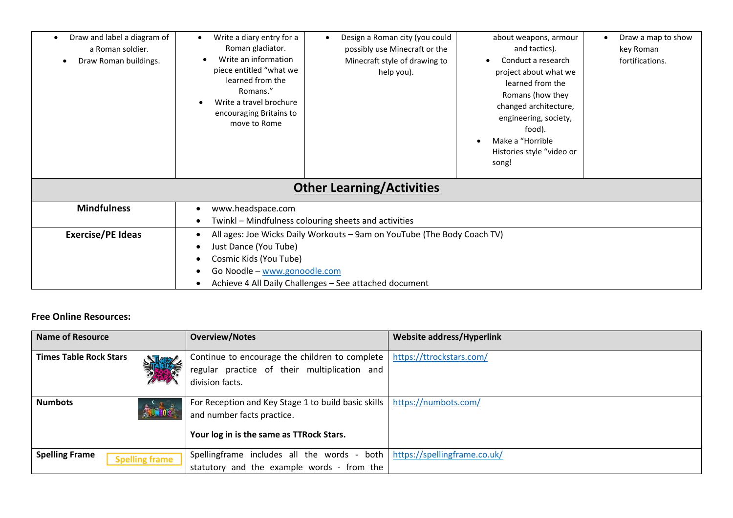| Draw and label a diagram of<br>٠<br>a Roman soldier.<br>Draw Roman buildings.<br>$\bullet$ | Write a diary entry for a<br>Roman gladiator.<br>Write an information<br>piece entitled "what we<br>learned from the<br>Romans."<br>Write a travel brochure<br>encouraging Britains to<br>move to Rome | Design a Roman city (you could<br>$\bullet$<br>possibly use Minecraft or the<br>Minecraft style of drawing to<br>help you). | about weapons, armour<br>and tactics).<br>Conduct a research<br>project about what we<br>learned from the<br>Romans (how they<br>changed architecture,<br>engineering, society,<br>food).<br>Make a "Horrible<br>Histories style "video or | Draw a map to show<br>٠<br>key Roman<br>fortifications. |
|--------------------------------------------------------------------------------------------|--------------------------------------------------------------------------------------------------------------------------------------------------------------------------------------------------------|-----------------------------------------------------------------------------------------------------------------------------|--------------------------------------------------------------------------------------------------------------------------------------------------------------------------------------------------------------------------------------------|---------------------------------------------------------|
|                                                                                            |                                                                                                                                                                                                        |                                                                                                                             | song!                                                                                                                                                                                                                                      |                                                         |
|                                                                                            |                                                                                                                                                                                                        | <b>Other Learning/Activities</b>                                                                                            |                                                                                                                                                                                                                                            |                                                         |
| <b>Mindfulness</b>                                                                         | www.headspace.com<br>$\bullet$                                                                                                                                                                         |                                                                                                                             |                                                                                                                                                                                                                                            |                                                         |
|                                                                                            | Twinkl - Mindfulness colouring sheets and activities<br>$\bullet$                                                                                                                                      |                                                                                                                             |                                                                                                                                                                                                                                            |                                                         |
| <b>Exercise/PE Ideas</b>                                                                   | All ages: Joe Wicks Daily Workouts - 9am on YouTube (The Body Coach TV)<br>$\bullet$                                                                                                                   |                                                                                                                             |                                                                                                                                                                                                                                            |                                                         |
|                                                                                            | Just Dance (You Tube)<br>$\bullet$                                                                                                                                                                     |                                                                                                                             |                                                                                                                                                                                                                                            |                                                         |
|                                                                                            | Cosmic Kids (You Tube)<br>$\bullet$                                                                                                                                                                    |                                                                                                                             |                                                                                                                                                                                                                                            |                                                         |
|                                                                                            | Go Noodle - www.gonoodle.com                                                                                                                                                                           |                                                                                                                             |                                                                                                                                                                                                                                            |                                                         |
|                                                                                            | Achieve 4 All Daily Challenges - See attached document                                                                                                                                                 |                                                                                                                             |                                                                                                                                                                                                                                            |                                                         |

## **Free Online Resources:**

| Name of Resource                                                                                                                                                   |    | <b>Overview/Notes</b>                                                                                                    | <b>Website address/Hyperlink</b> |
|--------------------------------------------------------------------------------------------------------------------------------------------------------------------|----|--------------------------------------------------------------------------------------------------------------------------|----------------------------------|
| <b>Times Table Rock Stars</b>                                                                                                                                      | 無意 | Continue to encourage the children to complete  <br>regular practice of their multiplication and<br>division facts.      | https://ttrockstars.com/         |
| <b>Numbots</b><br>For Reception and Key Stage 1 to build basic skills  <br><b>ENVIOR</b><br>and number facts practice.<br>Your log in is the same as TTRock Stars. |    |                                                                                                                          | https://numbots.com/             |
| <b>Spelling Frame</b><br><b>Spelling frame</b>                                                                                                                     |    | Spellingframe includes all the words - both   https://spellingframe.co.uk/<br>statutory and the example words - from the |                                  |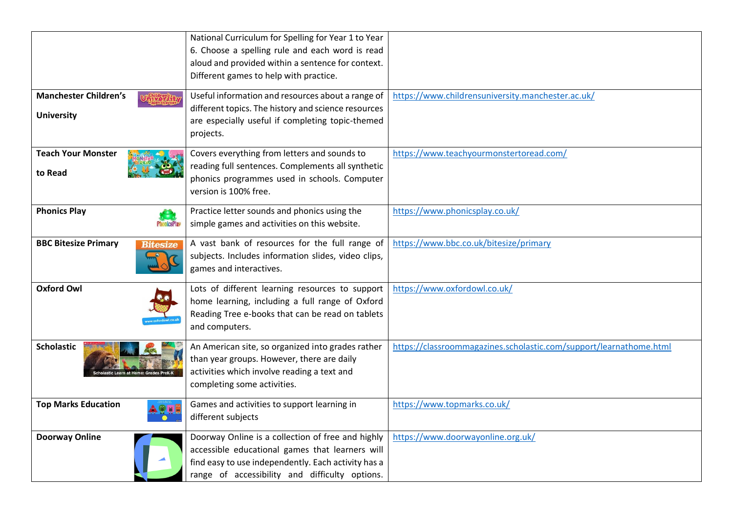|                                         | National Curriculum for Spelling for Year 1 to Year               |                                                                    |
|-----------------------------------------|-------------------------------------------------------------------|--------------------------------------------------------------------|
|                                         | 6. Choose a spelling rule and each word is read                   |                                                                    |
|                                         | aloud and provided within a sentence for context.                 |                                                                    |
|                                         | Different games to help with practice.                            |                                                                    |
| <b>Manchester Children's</b>            | Useful information and resources about a range of                 | https://www.childrensuniversity.manchester.ac.uk/                  |
| <b>University</b>                       | different topics. The history and science resources               |                                                                    |
|                                         | are especially useful if completing topic-themed                  |                                                                    |
|                                         | projects.                                                         |                                                                    |
| <b>Teach Your Monster</b>               | Covers everything from letters and sounds to                      | https://www.teachyourmonstertoread.com/                            |
| to Read                                 | reading full sentences. Complements all synthetic                 |                                                                    |
|                                         | phonics programmes used in schools. Computer                      |                                                                    |
|                                         | version is 100% free.                                             |                                                                    |
| <b>Phonics Play</b>                     | Practice letter sounds and phonics using the                      | https://www.phonicsplay.co.uk/                                     |
| <b>PhonicsPlay</b>                      | simple games and activities on this website.                      |                                                                    |
| <b>BBC Bitesize Primary</b><br>Bitesize | A vast bank of resources for the full range of                    | https://www.bbc.co.uk/bitesize/primary                             |
|                                         | subjects. Includes information slides, video clips,               |                                                                    |
|                                         | games and interactives.                                           |                                                                    |
| <b>Oxford Owl</b>                       | Lots of different learning resources to support                   | https://www.oxfordowl.co.uk/                                       |
|                                         | home learning, including a full range of Oxford                   |                                                                    |
|                                         | Reading Tree e-books that can be read on tablets                  |                                                                    |
|                                         | and computers.                                                    |                                                                    |
| <b>Scholastic</b>                       | An American site, so organized into grades rather                 | https://classroommagazines.scholastic.com/support/learnathome.html |
|                                         | than year groups. However, there are daily                        |                                                                    |
|                                         | activities which involve reading a text and                       |                                                                    |
|                                         | completing some activities.                                       |                                                                    |
|                                         |                                                                   |                                                                    |
| <b>Top Marks Education</b>              | Games and activities to support learning in<br>different subjects | https://www.topmarks.co.uk/                                        |
|                                         |                                                                   |                                                                    |
| <b>Doorway Online</b>                   | Doorway Online is a collection of free and highly                 | https://www.doorwayonline.org.uk/                                  |
|                                         | accessible educational games that learners will                   |                                                                    |
|                                         | find easy to use independently. Each activity has a               |                                                                    |
|                                         | range of accessibility and difficulty options.                    |                                                                    |